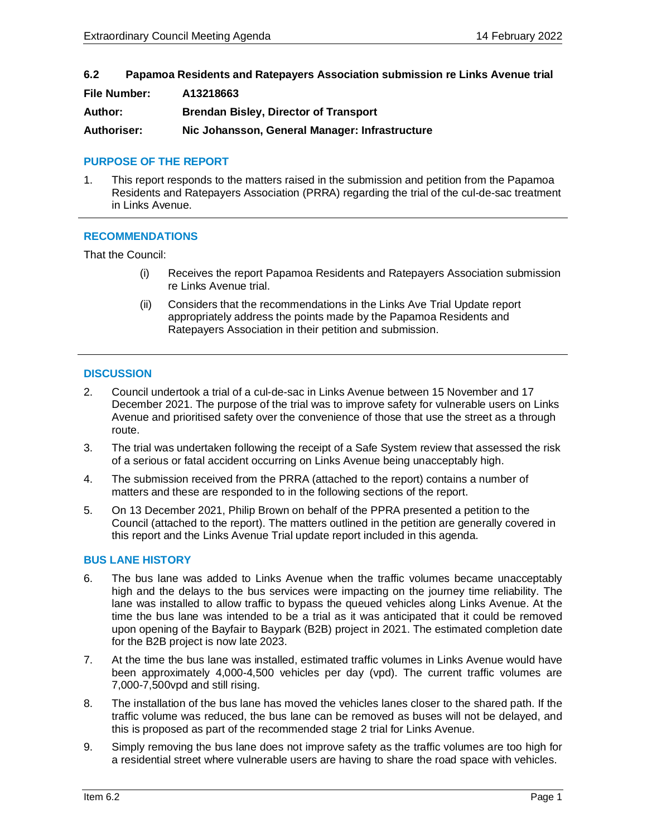**6.2 Papamoa Residents and Ratepayers Association submission re Links Avenue trial**

| <b>File Number:</b> | A13218663                                      |
|---------------------|------------------------------------------------|
| Author:             | <b>Brendan Bisley, Director of Transport</b>   |
| Authoriser:         | Nic Johansson, General Manager: Infrastructure |

#### **PURPOSE OF THE REPORT**

1. This report responds to the matters raised in the submission and petition from the Papamoa Residents and Ratepayers Association (PRRA) regarding the trial of the cul-de-sac treatment in Links Avenue.

# **RECOMMENDATIONS**

That the Council:

- (i) Receives the report Papamoa Residents and Ratepayers Association submission re Links Avenue trial.
- (ii) Considers that the recommendations in the Links Ave Trial Update report appropriately address the points made by the Papamoa Residents and Ratepayers Association in their petition and submission.

#### **DISCUSSION**

- 2. Council undertook a trial of a cul-de-sac in Links Avenue between 15 November and 17 December 2021. The purpose of the trial was to improve safety for vulnerable users on Links Avenue and prioritised safety over the convenience of those that use the street as a through route.
- 3. The trial was undertaken following the receipt of a Safe System review that assessed the risk of a serious or fatal accident occurring on Links Avenue being unacceptably high.
- 4. The submission received from the PRRA (attached to the report) contains a number of matters and these are responded to in the following sections of the report.
- 5. On 13 December 2021, Philip Brown on behalf of the PPRA presented a petition to the Council (attached to the report). The matters outlined in the petition are generally covered in this report and the Links Avenue Trial update report included in this agenda.

#### **BUS LANE HISTORY**

- 6. The bus lane was added to Links Avenue when the traffic volumes became unacceptably high and the delays to the bus services were impacting on the journey time reliability. The lane was installed to allow traffic to bypass the queued vehicles along Links Avenue. At the time the bus lane was intended to be a trial as it was anticipated that it could be removed upon opening of the Bayfair to Baypark (B2B) project in 2021. The estimated completion date for the B2B project is now late 2023.
- 7. At the time the bus lane was installed, estimated traffic volumes in Links Avenue would have been approximately 4,000-4,500 vehicles per day (vpd). The current traffic volumes are 7,000-7,500vpd and still rising.
- 8. The installation of the bus lane has moved the vehicles lanes closer to the shared path. If the traffic volume was reduced, the bus lane can be removed as buses will not be delayed, and this is proposed as part of the recommended stage 2 trial for Links Avenue.
- 9. Simply removing the bus lane does not improve safety as the traffic volumes are too high for a residential street where vulnerable users are having to share the road space with vehicles.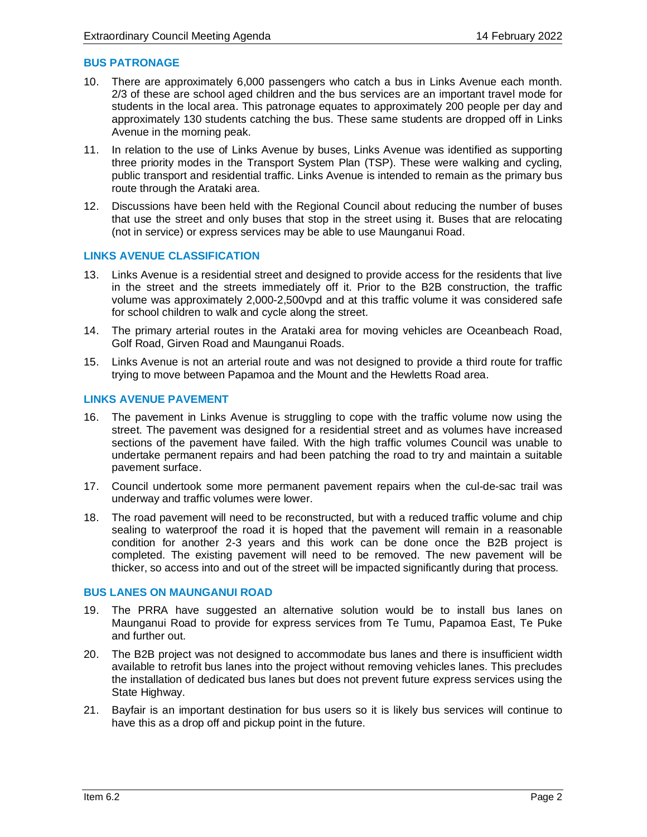# **BUS PATRONAGE**

- 10. There are approximately 6,000 passengers who catch a bus in Links Avenue each month. 2/3 of these are school aged children and the bus services are an important travel mode for students in the local area. This patronage equates to approximately 200 people per day and approximately 130 students catching the bus. These same students are dropped off in Links Avenue in the morning peak.
- 11. In relation to the use of Links Avenue by buses, Links Avenue was identified as supporting three priority modes in the Transport System Plan (TSP). These were walking and cycling, public transport and residential traffic. Links Avenue is intended to remain as the primary bus route through the Arataki area.
- 12. Discussions have been held with the Regional Council about reducing the number of buses that use the street and only buses that stop in the street using it. Buses that are relocating (not in service) or express services may be able to use Maunganui Road.

# **LINKS AVENUE CLASSIFICATION**

- 13. Links Avenue is a residential street and designed to provide access for the residents that live in the street and the streets immediately off it. Prior to the B2B construction, the traffic volume was approximately 2,000-2,500vpd and at this traffic volume it was considered safe for school children to walk and cycle along the street.
- 14. The primary arterial routes in the Arataki area for moving vehicles are Oceanbeach Road, Golf Road, Girven Road and Maunganui Roads.
- 15. Links Avenue is not an arterial route and was not designed to provide a third route for traffic trying to move between Papamoa and the Mount and the Hewletts Road area.

#### **LINKS AVENUE PAVEMENT**

- 16. The pavement in Links Avenue is struggling to cope with the traffic volume now using the street. The pavement was designed for a residential street and as volumes have increased sections of the pavement have failed. With the high traffic volumes Council was unable to undertake permanent repairs and had been patching the road to try and maintain a suitable pavement surface.
- 17. Council undertook some more permanent pavement repairs when the cul-de-sac trail was underway and traffic volumes were lower.
- 18. The road pavement will need to be reconstructed, but with a reduced traffic volume and chip sealing to waterproof the road it is hoped that the pavement will remain in a reasonable condition for another 2-3 years and this work can be done once the B2B project is completed. The existing pavement will need to be removed. The new pavement will be thicker, so access into and out of the street will be impacted significantly during that process.

# **BUS LANES ON MAUNGANUI ROAD**

- 19. The PRRA have suggested an alternative solution would be to install bus lanes on Maunganui Road to provide for express services from Te Tumu, Papamoa East, Te Puke and further out.
- 20. The B2B project was not designed to accommodate bus lanes and there is insufficient width available to retrofit bus lanes into the project without removing vehicles lanes. This precludes the installation of dedicated bus lanes but does not prevent future express services using the State Highway.
- 21. Bayfair is an important destination for bus users so it is likely bus services will continue to have this as a drop off and pickup point in the future.